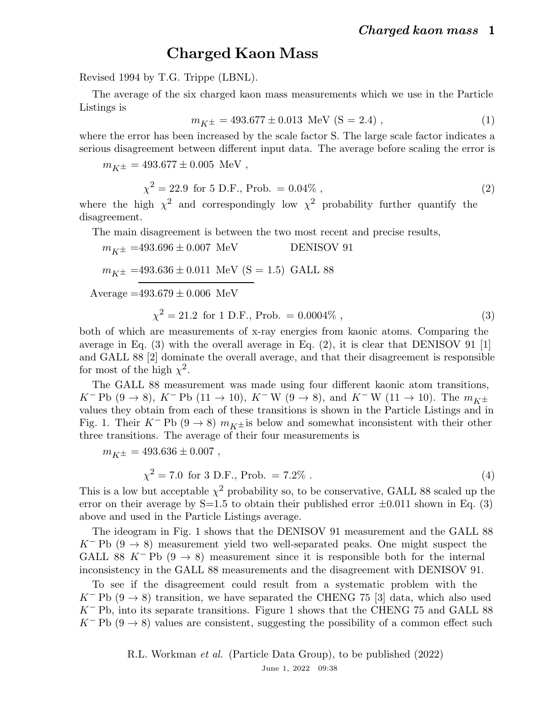## Charged Kaon Mass

Revised 1994 by T.G. Trippe (LBNL).

The average of the six charged kaon mass measurements which we use in the Particle Listings is

$$
m_{K^{\pm}} = 493.677 \pm 0.013 \text{ MeV (S = 2.4)}, \tag{1}
$$

where the error has been increased by the scale factor S. The large scale factor indicates a serious disagreement between different input data. The average before scaling the error is

 $m_{K^{\pm}} = 493.677 \pm 0.005$  MeV,

$$
\chi^2 = 22.9 \text{ for } 5 \text{ D.F., Prob.} = 0.04\%,\tag{2}
$$

where the high  $\chi^2$  and correspondingly low  $\chi^2$  probability further quantify the disagreement.

The main disagreement is between the two most recent and precise results,

 $m_{K\pm} = 493.696 \pm 0.007$  MeV DENISOV 91  $m_{K^{\pm}}$  =493.636  $\pm$  0.011  $\,$  MeV (S = 1.5) GALL 88

Average  $=493.679 \pm 0.006$  MeV

$$
\chi^2 = 21.2 \text{ for } 1 \text{ D.F., Prob.} = 0.0004\%,\tag{3}
$$

both of which are measurements of x-ray energies from kaonic atoms. Comparing the average in Eq.  $(3)$  with the overall average in Eq.  $(2)$ , it is clear that DENISOV 91 [1] and GALL 88 [2] dominate the overall average, and that their disagreement is responsible for most of the high  $\chi^2$ .

The GALL 88 measurement was made using four different kaonic atom transitions,  $K^-$  Pb (9 → 8),  $K^-$  Pb (11 → 10),  $K^-$  W (9 → 8), and  $K^-$  W (11 → 10). The  $m_{K^{\pm}}$ values they obtain from each of these transitions is shown in the Particle Listings and in Fig. 1. Their K<sup>-</sup> Pb (9  $\rightarrow$  8)  $m_{K\pm}$  is below and somewhat inconsistent with their other three transitions. The average of their four measurements is

 $m_{K\pm} = 493.636 \pm 0.007$ ,

$$
\chi^2 = 7.0 \text{ for } 3 \text{ D.F., Prob.} = 7.2\% \tag{4}
$$

This is a low but acceptable  $\chi^2$  probability so, to be conservative, GALL 88 scaled up the error on their average by  $S=1.5$  to obtain their published error  $\pm 0.011$  shown in Eq. (3) above and used in the Particle Listings average.

The ideogram in Fig. 1 shows that the DENISOV 91 measurement and the GALL 88 K<sup>-</sup> Pb  $(9 \rightarrow 8)$  measurement yield two well-separated peaks. One might suspect the GALL 88 K<sup>-</sup> Pb  $(9 \rightarrow 8)$  measurement since it is responsible both for the internal inconsistency in the GALL 88 measurements and the disagreement with DENISOV 91.

To see if the disagreement could result from a systematic problem with the K<sup>-</sup> Pb (9  $\rightarrow$  8) transition, we have separated the CHENG 75 [3] data, which also used  $K^-$  Pb, into its separate transitions. Figure 1 shows that the CHENG 75 and GALL 88 K<sup>-</sup> Pb (9  $\rightarrow$  8) values are consistent, suggesting the possibility of a common effect such

> R.L. Workman et al. (Particle Data Group), to be published (2022) June 1, 2022 09:38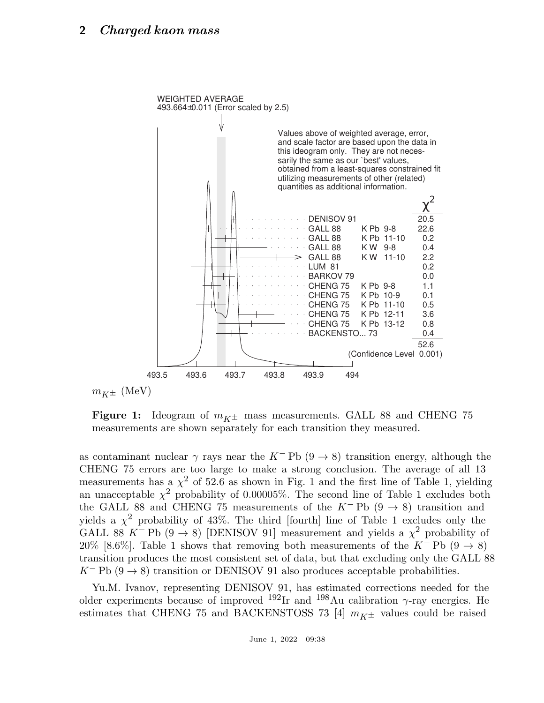

**Figure 1:** Ideogram of  $m_{K<sup>±</sup>}$  mass measurements. GALL 88 and CHENG 75 measurements are shown separately for each transition they measured.

as contaminant nuclear  $\gamma$  rays near the K<sup>-</sup> Pb (9  $\rightarrow$  8) transition energy, although the CHENG 75 errors are too large to make a strong conclusion. The average of all 13 measurements has a  $\chi^2$  of 52.6 as shown in Fig. 1 and the first line of Table 1, yielding an unacceptable  $\chi^2$  probability of 0.00005%. The second line of Table 1 excludes both the GALL 88 and CHENG 75 measurements of the K<sup>-</sup> Pb  $(9 \rightarrow 8)$  transition and yields a  $\chi^2$  probability of 43%. The third [fourth] line of Table 1 excludes only the GALL 88 K<sup>-</sup> Pb (9  $\rightarrow$  8) [DENISOV 91] measurement and yields a  $\chi^2$  probability of 20% [8.6%]. Table 1 shows that removing both measurements of the K<sup>-</sup> Pb (9  $\rightarrow$  8) transition produces the most consistent set of data, but that excluding only the GALL 88  $K^-$  Pb (9  $\rightarrow$  8) transition or DENISOV 91 also produces acceptable probabilities.

Yu.M. Ivanov, representing DENISOV 91, has estimated corrections needed for the older experiments because of improved <sup>192</sup>Ir and <sup>198</sup>Au calibration  $\gamma$ -ray energies. He estimates that CHENG 75 and BACKENSTOSS 73 [4]  $m_{K^{\pm}}$  values could be raised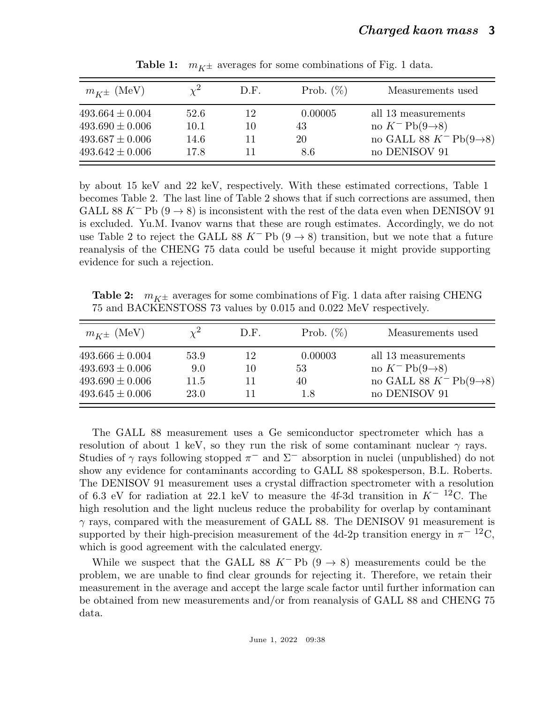| $m_{K^{\pm}}$ (MeV) |      | D.F. | Prob. $(\%)$ | Measurements used                      |
|---------------------|------|------|--------------|----------------------------------------|
| $493.664 \pm 0.004$ | 52.6 | 12   | 0.00005      | all 13 measurements                    |
| $493.690 \pm 0.006$ | 10.1 | 10   | 43           | no $K^-$ Pb $(9\rightarrow 8)$         |
| $493.687 \pm 0.006$ | 14.6 | 11   | 20           | no GALL 88 $K^-$ Pb $(9\rightarrow 8)$ |
| $493.642 \pm 0.006$ | 17.8 |      | 8.6          | no DENISOV 91                          |

**Table 1:**  $m_{K^{\pm}}$  averages for some combinations of Fig. 1 data.

by about 15 keV and 22 keV, respectively. With these estimated corrections, Table 1 becomes Table 2. The last line of Table 2 shows that if such corrections are assumed, then GALL 88 K<sup>-</sup> Pb  $(9 \rightarrow 8)$  is inconsistent with the rest of the data even when DENISOV 91 is excluded. Yu.M. Ivanov warns that these are rough estimates. Accordingly, we do not use Table 2 to reject the GALL 88 K<sup>-</sup> Pb (9  $\rightarrow$  8) transition, but we note that a future reanalysis of the CHENG 75 data could be useful because it might provide supporting evidence for such a rejection.

**Table 2:**  $m_{K\pm}$  averages for some combinations of Fig. 1 data after raising CHENG 75 and BACKENSTOSS 73 values by 0.015 and 0.022 MeV respectively.

| $m_{K^{\pm}}$ (MeV) |      | D.F. | Prob. $(\%)$ | Measurements used                      |
|---------------------|------|------|--------------|----------------------------------------|
| $493.666 \pm 0.004$ | 53.9 | 12   | 0.00003      | all 13 measurements                    |
| $493.693 \pm 0.006$ | 9.0  | 10   | 53           | no $K^-$ Pb $(9\rightarrow 8)$         |
| $493.690 \pm 0.006$ | 11.5 | 11   | 40           | no GALL 88 $K^-$ Pb(9 $\rightarrow$ 8) |
| $493.645 \pm 0.006$ | 23.0 |      | 1.8          | no DENISOV 91                          |

The GALL 88 measurement uses a Ge semiconductor spectrometer which has a resolution of about 1 keV, so they run the risk of some contaminant nuclear  $\gamma$  rays. Studies of  $\gamma$  rays following stopped  $\pi^-$  and  $\Sigma^-$  absorption in nuclei (unpublished) do not show any evidence for contaminants according to GALL 88 spokesperson, B.L. Roberts. The DENISOV 91 measurement uses a crystal diffraction spectrometer with a resolution of 6.3 eV for radiation at 22.1 keV to measure the 4f-3d transition in  $K^{-12}$ C. The high resolution and the light nucleus reduce the probability for overlap by contaminant  $\gamma$  rays, compared with the measurement of GALL 88. The DENISOV 91 measurement is supported by their high-precision measurement of the 4d-2p transition energy in  $\pi^{-12}C$ , which is good agreement with the calculated energy.

While we suspect that the GALL 88 K<sup>-</sup> Pb  $(9 \rightarrow 8)$  measurements could be the problem, we are unable to find clear grounds for rejecting it. Therefore, we retain their measurement in the average and accept the large scale factor until further information can be obtained from new measurements and/or from reanalysis of GALL 88 and CHENG 75 data.